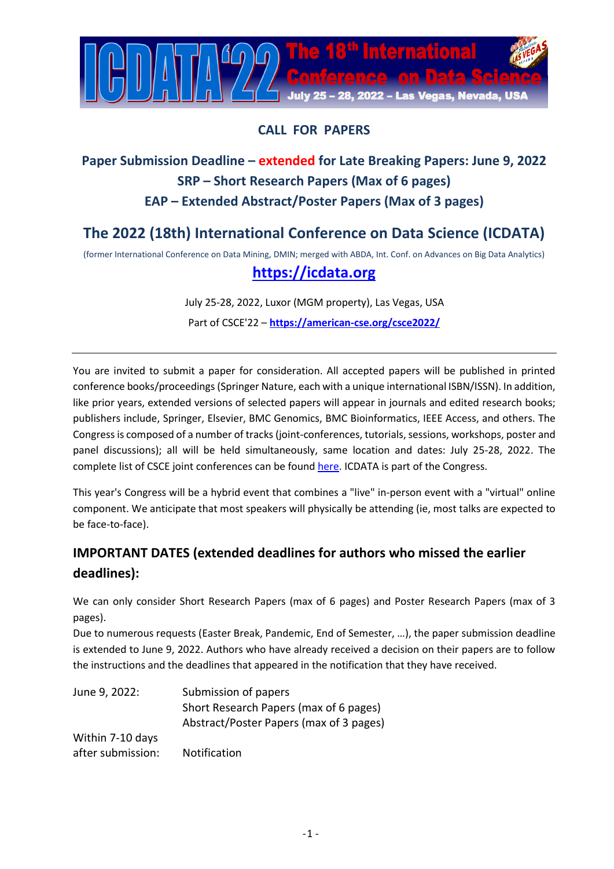

## **CALL FOR PAPERS**

## **Paper Submission Deadline – extended for Late Breaking Papers: June 9, 2022 SRP – Short Research Papers (Max of 6 pages) EAP – Extended Abstract/Poster Papers (Max of 3 pages)**

# **The 2022 (18th) International Conference on Data Science (ICDATA)**

(former International Conference on Data Mining, DMIN; merged with ABDA, Int. Conf. on Advances on Big Data Analytics)

## **[https://icdata.org](https://icdata.org/)**

July 25-28, 2022, Luxor (MGM property), Las Vegas, USA Part of CSCE'22 – **<https://american-cse.org/csce2022/>**

You are invited to submit a paper for consideration. All accepted papers will be published in printed conference books/proceedings(Springer Nature, each with a unique international ISBN/ISSN). In addition, like prior years, extended versions of selected papers will appear in journals and edited research books; publishers include, Springer, Elsevier, BMC Genomics, BMC Bioinformatics, IEEE Access, and others. The Congress is composed of a number of tracks (joint-conferences, tutorials, sessions, workshops, poster and panel discussions); all will be held simultaneously, same location and dates: July 25-28, 2022. The complete list of CSCE joint conferences can be found [here.](https://american-cse.org/csce2022/conferences) ICDATA is part of the Congress.

This year's Congress will be a hybrid event that combines a "live" in-person event with a "virtual" online component. We anticipate that most speakers will physically be attending (ie, most talks are expected to be face-to-face).

## **IMPORTANT DATES (extended deadlines for authors who missed the earlier deadlines):**

We can only consider Short Research Papers (max of 6 pages) and Poster Research Papers (max of 3 pages).

Due to numerous requests (Easter Break, Pandemic, End of Semester, …), the paper submission deadline is extended to June 9, 2022. Authors who have already received a decision on their papers are to follow the instructions and the deadlines that appeared in the notification that they have received.

| June 9, 2022:     | Submission of papers                    |
|-------------------|-----------------------------------------|
|                   | Short Research Papers (max of 6 pages)  |
|                   | Abstract/Poster Papers (max of 3 pages) |
| Within 7-10 days  |                                         |
| after submission: | <b>Notification</b>                     |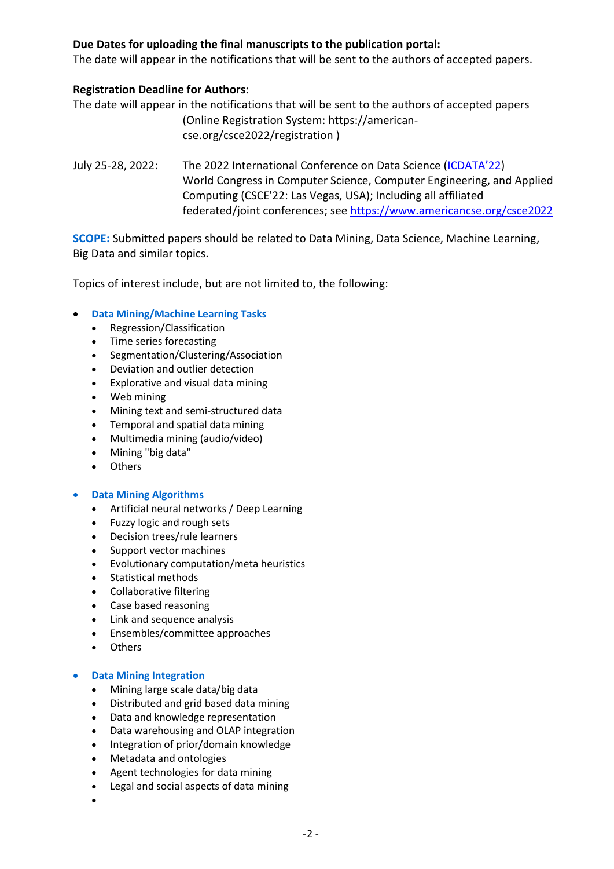## **Due Dates for uploading the final manuscripts to the publication portal:**

The date will appear in the notifications that will be sent to the authors of accepted papers.

## **Registration Deadline for Authors:**

The date will appear in the notifications that will be sent to the authors of accepted papers (Online Registration System: https://americancse.org/csce2022/registration )

July 25-28, 2022: The 2022 International Conference on Data Science ([ICDATA'2](https://icdata.org/)2) World Congress in Computer Science, Computer Engineering, and Applied Computing (CSCE'22: Las Vegas, USA); Including all affiliated federated/joint conferences; see<https://www.americancse.org/csce2022>

**SCOPE:** Submitted papers should be related to Data Mining, Data Science, Machine Learning, Big Data and similar topics.

Topics of interest include, but are not limited to, the following:

## **Data Mining/Machine Learning Tasks**

- Regression/Classification
- Time series forecasting
- Segmentation/Clustering/Association
- Deviation and outlier detection
- Explorative and visual data mining
- Web mining
- Mining text and semi-structured data
- Temporal and spatial data mining
- Multimedia mining (audio/video)
- Mining "big data"
- Others

## **Data Mining Algorithms**

- Artificial neural networks / Deep Learning
- Fuzzy logic and rough sets
- Decision trees/rule learners
- Support vector machines
- Evolutionary computation/meta heuristics
- Statistical methods
- Collaborative filtering
- Case based reasoning
- Link and sequence analysis
- Ensembles/committee approaches
- Others

## **Data Mining Integration**

- Mining large scale data/big data
- Distributed and grid based data mining
- Data and knowledge representation
- Data warehousing and OLAP integration
- Integration of prior/domain knowledge
- Metadata and ontologies
- Agent technologies for data mining
- Legal and social aspects of data mining
- $\bullet$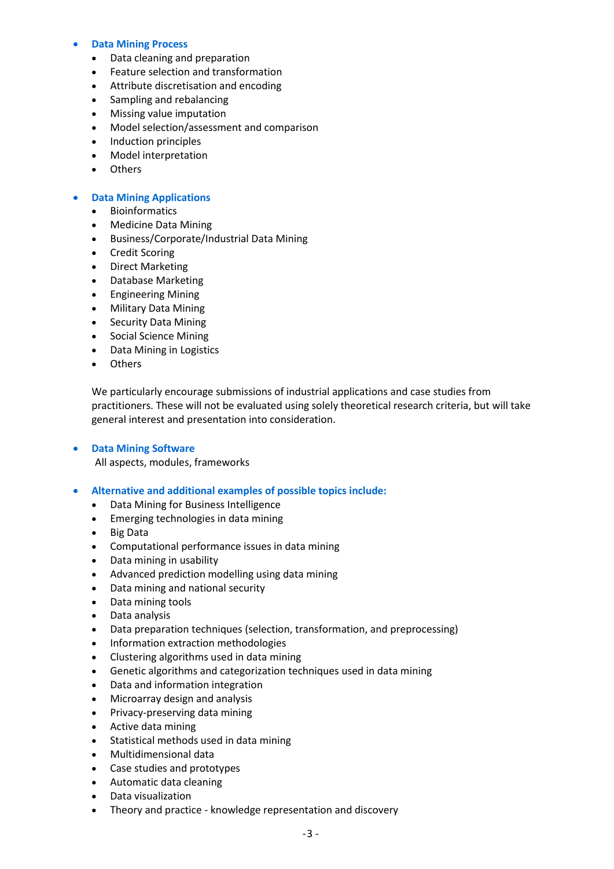#### **Data Mining Process**

- Data cleaning and preparation
- Feature selection and transformation
- Attribute discretisation and encoding
- Sampling and rebalancing
- Missing value imputation
- Model selection/assessment and comparison
- Induction principles
- Model interpretation
- Others

#### **Data Mining Applications**

- Bioinformatics
- Medicine Data Mining
- Business/Corporate/Industrial Data Mining
- **•** Credit Scoring
- Direct Marketing
- Database Marketing
- **•** Engineering Mining
- Military Data Mining
- Security Data Mining
- Social Science Mining
- Data Mining in Logistics
- Others

We particularly encourage submissions of industrial applications and case studies from practitioners. These will not be evaluated using solely theoretical research criteria, but will take general interest and presentation into consideration.

#### **Data Mining Software**

All aspects, modules, frameworks

#### **Alternative and additional examples of possible topics include:**

- Data Mining for Business Intelligence
- Emerging technologies in data mining
- Big Data
- Computational performance issues in data mining
- Data mining in usability
- Advanced prediction modelling using data mining
- Data mining and national security
- Data mining tools
- Data analysis
- Data preparation techniques (selection, transformation, and preprocessing)
- Information extraction methodologies
- Clustering algorithms used in data mining
- Genetic algorithms and categorization techniques used in data mining
- Data and information integration
- Microarray design and analysis
- Privacy-preserving data mining
- Active data mining
- Statistical methods used in data mining
- Multidimensional data
- Case studies and prototypes
- Automatic data cleaning
- Data visualization
- Theory and practice knowledge representation and discovery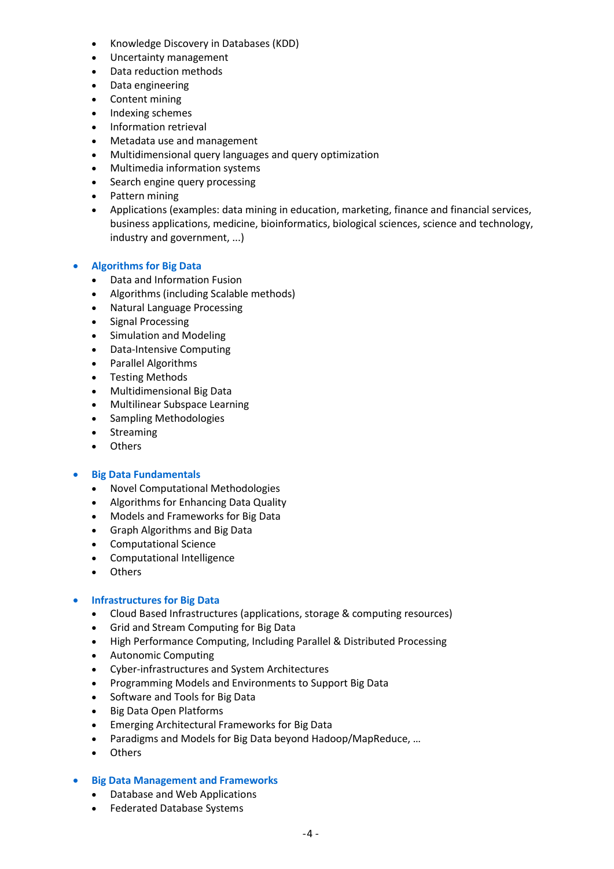- Knowledge Discovery in Databases (KDD)
- Uncertainty management
- Data reduction methods
- Data engineering
- Content mining
- Indexing schemes
- Information retrieval
- Metadata use and management
- Multidimensional query languages and query optimization
- Multimedia information systems
- Search engine query processing
- Pattern mining
- Applications (examples: data mining in education, marketing, finance and financial services, business applications, medicine, bioinformatics, biological sciences, science and technology, industry and government, ...)

## **Algorithms for Big Data**

- Data and Information Fusion
- Algorithms (including Scalable methods)
- Natural Language Processing
- Signal Processing
- Simulation and Modeling
- Data-Intensive Computing
- Parallel Algorithms
- Testing Methods
- Multidimensional Big Data
- Multilinear Subspace Learning
- Sampling Methodologies
- Streaming
- Others

## **Big Data Fundamentals**

- Novel Computational Methodologies
- Algorithms for Enhancing Data Quality
- Models and Frameworks for Big Data
- Graph Algorithms and Big Data
- Computational Science
- Computational Intelligence
- Others

## **Infrastructures for Big Data**

- Cloud Based Infrastructures (applications, storage & computing resources)
- Grid and Stream Computing for Big Data
- High Performance Computing, Including Parallel & Distributed Processing
- Autonomic Computing
- Cyber-infrastructures and System Architectures
- Programming Models and Environments to Support Big Data
- Software and Tools for Big Data
- Big Data Open Platforms
- Emerging Architectural Frameworks for Big Data
- Paradigms and Models for Big Data beyond Hadoop/MapReduce, …
- Others

## **Big Data Management and Frameworks**

- Database and Web Applications
- Federated Database Systems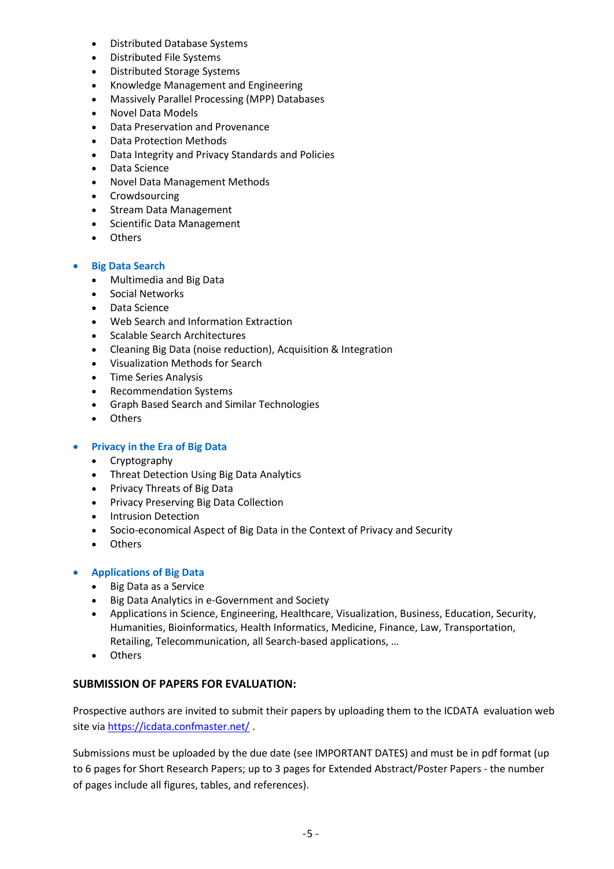- Distributed Database Systems
- Distributed File Systems
- Distributed Storage Systems
- Knowledge Management and Engineering
- Massively Parallel Processing (MPP) Databases
- Novel Data Models
- Data Preservation and Provenance
- Data Protection Methods
- Data Integrity and Privacy Standards and Policies
- Data Science
- Novel Data Management Methods
- Crowdsourcing
- Stream Data Management
- Scientific Data Management
- Others

#### **Big Data Search**

- Multimedia and Big Data
- Social Networks
- Data Science
- Web Search and Information Extraction
- Scalable Search Architectures
- Cleaning Big Data (noise reduction), Acquisition & Integration
- Visualization Methods for Search
- Time Series Analysis
- Recommendation Systems
- Graph Based Search and Similar Technologies
- Others

#### **Privacy in the Era of Big Data**

- Cryptography
- Threat Detection Using Big Data Analytics
- Privacy Threats of Big Data
- **•** Privacy Preserving Big Data Collection
- Intrusion Detection
- Socio-economical Aspect of Big Data in the Context of Privacy and Security
- Others

#### **Applications of Big Data**

- Big Data as a Service
- Big Data Analytics in e-Government and Society
- Applications in Science, Engineering, Healthcare, Visualization, Business, Education, Security, Humanities, Bioinformatics, Health Informatics, Medicine, Finance, Law, Transportation, Retailing, Telecommunication, all Search-based applications, …
- Others

## **SUBMISSION OF PAPERS FOR EVALUATION:**

Prospective authors are invited to submit their papers by uploading them to the ICDATA evaluation web site via <https://icdata.confmaster.net/> .

Submissions must be uploaded by the due date (see IMPORTANT DATES) and must be in pdf format (up to 6 pages for Short Research Papers; up to 3 pages for Extended Abstract/Poster Papers - the number of pages include all figures, tables, and references).